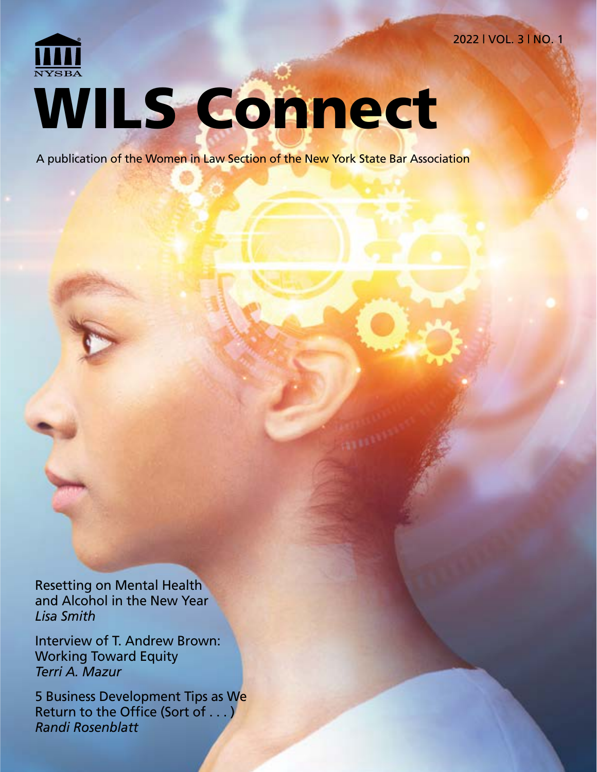2022 | VOL. 3 | NO. 1

# WILS Connect

A publication of the Women in Law Section of the New York State Bar Association

Resetting on Mental Health and Alcohol in the New Year *Lisa Smith*

Interview of T. Andrew Brown: Working Toward Equity *Terri A. Mazur*

5 Business Development Tips as We Return to the Office (Sort of . . . ) *Randi Rosenblatt*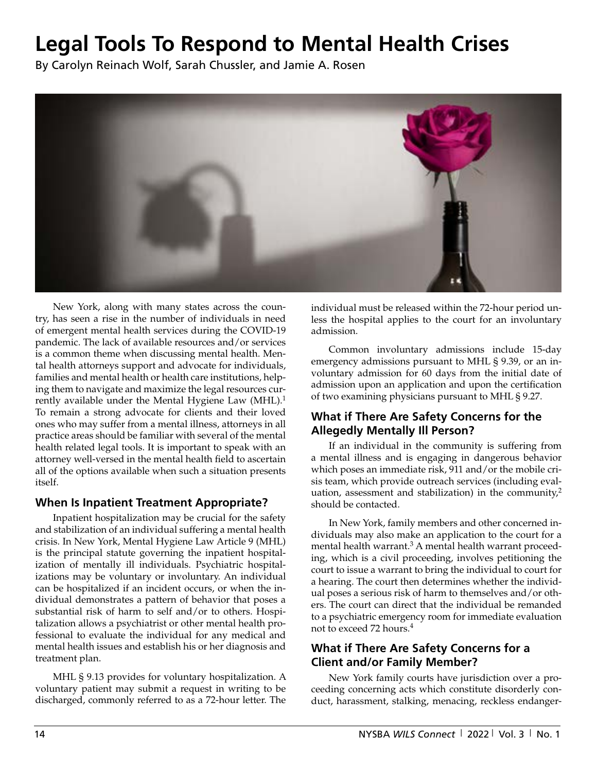## **Legal Tools To Respond to Mental Health Crises**

By Carolyn Reinach Wolf, Sarah Chussler, and Jamie A. Rosen



New York, along with many states across the country, has seen a rise in the number of individuals in need of emergent mental health services during the COVID-19 pandemic. The lack of available resources and/or services is a common theme when discussing mental health. Mental health attorneys support and advocate for individuals, families and mental health or health care institutions, helping them to navigate and maximize the legal resources currently available under the Mental Hygiene Law  $(MHL)$ <sup>1</sup> To remain a strong advocate for clients and their loved ones who may suffer from a mental illness, attorneys in all practice areas should be familiar with several of the mental health related legal tools. It is important to speak with an attorney well-versed in the mental health field to ascertain all of the options available when such a situation presents itself.

#### **When Is Inpatient Treatment Appropriate?**

Inpatient hospitalization may be crucial for the safety and stabilization of an individual suffering a mental health crisis. In New York, Mental Hygiene Law Article 9 (MHL) is the principal statute governing the inpatient hospitalization of mentally ill individuals. Psychiatric hospitalizations may be voluntary or involuntary. An individual can be hospitalized if an incident occurs, or when the individual demonstrates a pattern of behavior that poses a substantial risk of harm to self and/or to others. Hospitalization allows a psychiatrist or other mental health professional to evaluate the individual for any medical and mental health issues and establish his or her diagnosis and treatment plan.

MHL § 9.13 provides for voluntary hospitalization. A voluntary patient may submit a request in writing to be discharged, commonly referred to as a 72-hour letter. The individual must be released within the 72-hour period unless the hospital applies to the court for an involuntary admission.

Common involuntary admissions include 15-day emergency admissions pursuant to MHL § 9.39, or an involuntary admission for 60 days from the initial date of admission upon an application and upon the certification of two examining physicians pursuant to MHL § 9.27.

#### **What if There Are Safety Concerns for the Allegedly Mentally Ill Person?**

If an individual in the community is suffering from a mental illness and is engaging in dangerous behavior which poses an immediate risk, 911 and/or the mobile crisis team, which provide outreach services (including evaluation, assessment and stabilization) in the community, $^2$ should be contacted.

In New York, family members and other concerned individuals may also make an application to the court for a mental health warrant.<sup>3</sup> A mental health warrant proceeding, which is a civil proceeding, involves petitioning the court to issue a warrant to bring the individual to court for a hearing. The court then determines whether the individual poses a serious risk of harm to themselves and/or others. The court can direct that the individual be remanded to a psychiatric emergency room for immediate evaluation not to exceed 72 hours.4

### **What if There Are Safety Concerns for a Client and/or Family Member?**

New York family courts have jurisdiction over a proceeding concerning acts which constitute disorderly conduct, harassment, stalking, menacing, reckless endanger